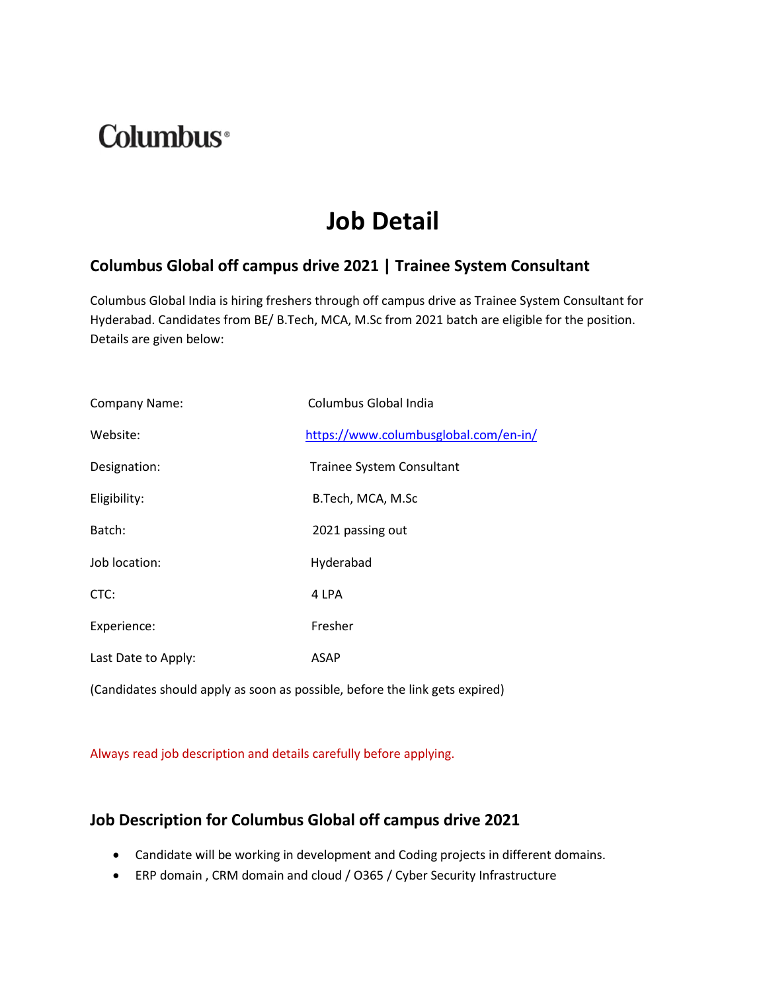# **Columbus**<sup>®</sup>

## **Job Detail**

#### **Columbus Global off campus drive 2021 | Trainee System Consultant**

Columbus Global India is hiring freshers through off campus drive as Trainee System Consultant for Hyderabad. Candidates from BE/ B.Tech, MCA, M.Sc from 2021 batch are eligible for the position. Details are given below:

| <b>Company Name:</b> | Columbus Global India                 |
|----------------------|---------------------------------------|
| Website:             | https://www.columbusglobal.com/en-in/ |
| Designation:         | Trainee System Consultant             |
| Eligibility:         | B.Tech, MCA, M.Sc                     |
| Batch:               | 2021 passing out                      |
| Job location:        | Hyderabad                             |
| CTC:                 | 4 LPA                                 |
| Experience:          | Fresher                               |
| Last Date to Apply:  | <b>ASAP</b>                           |

(Candidates should apply as soon as possible, before the link gets expired)

Always read job description and details carefully before applying.

#### **Job Description for Columbus Global off campus drive 2021**

- Candidate will be working in development and Coding projects in different domains.
- ERP domain , CRM domain and cloud / O365 / Cyber Security Infrastructure